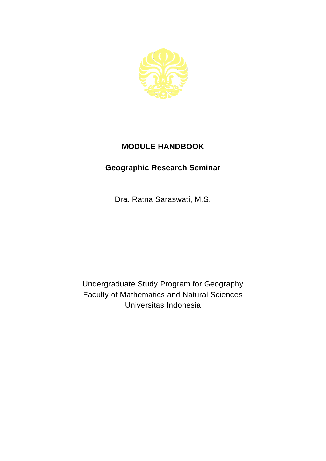

## **MODULE HANDBOOK**

## **Geographic Research Seminar**

Dra. Ratna Saraswati, M.S.

Undergraduate Study Program for Geography Faculty of Mathematics and Natural Sciences Universitas Indonesia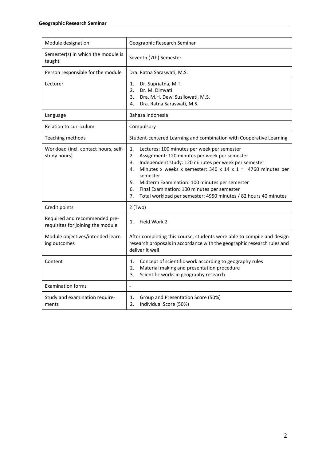| Module designation                                                 | Geographic Research Seminar                                                                                                                                                                                                                                                                                                                                                                                                                  |
|--------------------------------------------------------------------|----------------------------------------------------------------------------------------------------------------------------------------------------------------------------------------------------------------------------------------------------------------------------------------------------------------------------------------------------------------------------------------------------------------------------------------------|
| Semester(s) in which the module is<br>taught                       | Seventh (7th) Semester                                                                                                                                                                                                                                                                                                                                                                                                                       |
| Person responsible for the module                                  | Dra. Ratna Saraswati, M.S.                                                                                                                                                                                                                                                                                                                                                                                                                   |
| Lecturer                                                           | 1.<br>Dr. Supriatna, M.T.<br>$\overline{2}$ .<br>Dr. M. Dimyati<br>3.<br>Dra. M.H. Dewi Susilowati, M.S.<br>Dra. Ratna Saraswati, M.S.<br>4.                                                                                                                                                                                                                                                                                                 |
| Language                                                           | Bahasa Indonesia                                                                                                                                                                                                                                                                                                                                                                                                                             |
| Relation to curriculum                                             | Compulsory                                                                                                                                                                                                                                                                                                                                                                                                                                   |
| Teaching methods                                                   | Student-centered Learning and combination with Cooperative Learning                                                                                                                                                                                                                                                                                                                                                                          |
| Workload (incl. contact hours, self-<br>study hours)               | 1.<br>Lectures: 100 minutes per week per semester<br>2.<br>Assignment: 120 minutes per week per semester<br>Independent study: 120 minutes per week per semester<br>3.<br>Minutes x weeks x semester: 340 x 14 x 1 = 4760 minutes per<br>4.<br>semester<br>Midterm Examination: 100 minutes per semester<br>5.<br>6.<br>Final Examination: 100 minutes per semester<br>7.<br>Total workload per semester: 4950 minutes / 82 hours 40 minutes |
| Credit points                                                      | $2$ (Two)                                                                                                                                                                                                                                                                                                                                                                                                                                    |
| Required and recommended pre-<br>requisites for joining the module | Field Work 2<br>1.                                                                                                                                                                                                                                                                                                                                                                                                                           |
| Module objectives/intended learn-<br>ing outcomes                  | After completing this course, students were able to compile and design<br>research proposals in accordance with the geographic research rules and<br>deliver it well                                                                                                                                                                                                                                                                         |
| Content                                                            | Concept of scientific work according to geography rules<br>1.<br>Material making and presentation procedure<br>2.<br>Scientific works in geography research<br>3.                                                                                                                                                                                                                                                                            |
| <b>Examination forms</b>                                           | $\overline{a}$                                                                                                                                                                                                                                                                                                                                                                                                                               |
| Study and examination require-<br>ments                            | Group and Presentation Score (50%)<br>1.<br>2.<br>Individual Score (50%)                                                                                                                                                                                                                                                                                                                                                                     |